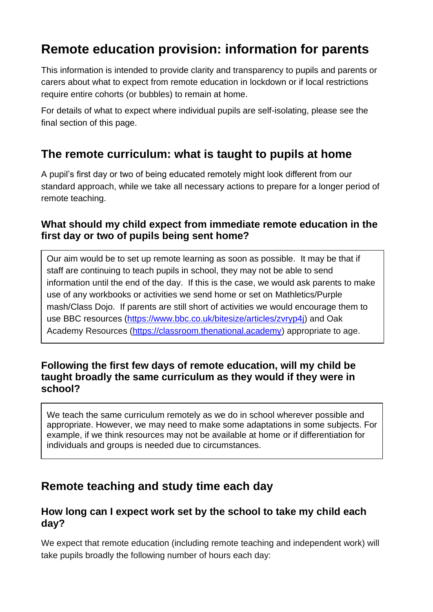# **Remote education provision: information for parents**

This information is intended to provide clarity and transparency to pupils and parents or carers about what to expect from remote education in lockdown or if local restrictions require entire cohorts (or bubbles) to remain at home.

For details of what to expect where individual pupils are self-isolating, please see the final section of this page.

## **The remote curriculum: what is taught to pupils at home**

A pupil's first day or two of being educated remotely might look different from our standard approach, while we take all necessary actions to prepare for a longer period of remote teaching.

### **What should my child expect from immediate remote education in the first day or two of pupils being sent home?**

Our aim would be to set up remote learning as soon as possible. It may be that if staff are continuing to teach pupils in school, they may not be able to send information until the end of the day. If this is the case, we would ask parents to make use of any workbooks or activities we send home or set on Mathletics/Purple mash/Class Dojo. If parents are still short of activities we would encourage them to use BBC resources [\(https://www.bbc.co.uk/bitesize/articles/zvryp4j\)](https://www.bbc.co.uk/bitesize/articles/zvryp4j) and Oak Academy Resources [\(https://classroom.thenational.academy\)](https://classroom.thenational.academy/) appropriate to age.

#### **Following the first few days of remote education, will my child be taught broadly the same curriculum as they would if they were in school?**

We teach the same curriculum remotely as we do in school wherever possible and appropriate. However, we may need to make some adaptations in some subjects. For example, if we think resources may not be available at home or if differentiation for individuals and groups is needed due to circumstances.

## **Remote teaching and study time each day**

### **How long can I expect work set by the school to take my child each day?**

We expect that remote education (including remote teaching and independent work) will take pupils broadly the following number of hours each day: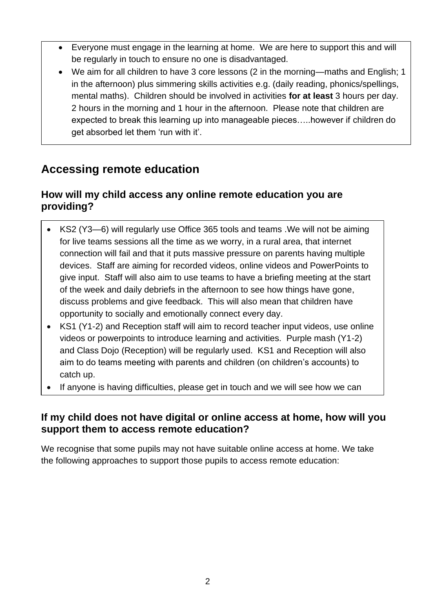- Everyone must engage in the learning at home. We are here to support this and will be regularly in touch to ensure no one is disadvantaged.
- We aim for all children to have 3 core lessons (2 in the morning—maths and English; 1 in the afternoon) plus simmering skills activities e.g. (daily reading, phonics/spellings, mental maths). Children should be involved in activities **for at least** 3 hours per day. 2 hours in the morning and 1 hour in the afternoon. Please note that children are expected to break this learning up into manageable pieces…..however if children do get absorbed let them 'run with it'.

# **Accessing remote education**

help.

### **How will my child access any online remote education you are providing?**

- KS2 (Y3—6) will regularly use Office 365 tools and teams .We will not be aiming for live teams sessions all the time as we worry, in a rural area, that internet connection will fail and that it puts massive pressure on parents having multiple devices. Staff are aiming for recorded videos, online videos and PowerPoints to give input. Staff will also aim to use teams to have a briefing meeting at the start of the week and daily debriefs in the afternoon to see how things have gone, discuss problems and give feedback. This will also mean that children have opportunity to socially and emotionally connect every day.
- KS1 (Y1-2) and Reception staff will aim to record teacher input videos, use online videos or powerpoints to introduce learning and activities. Purple mash (Y1-2) and Class Dojo (Reception) will be regularly used. KS1 and Reception will also aim to do teams meeting with parents and children (on children's accounts) to catch up.
- If anyone is having difficulties, please get in touch and we will see how we can

#### **If my child does not have digital or online access at home, how will you support them to access remote education?**

We recognise that some pupils may not have suitable online access at home. We take the following approaches to support those pupils to access remote education: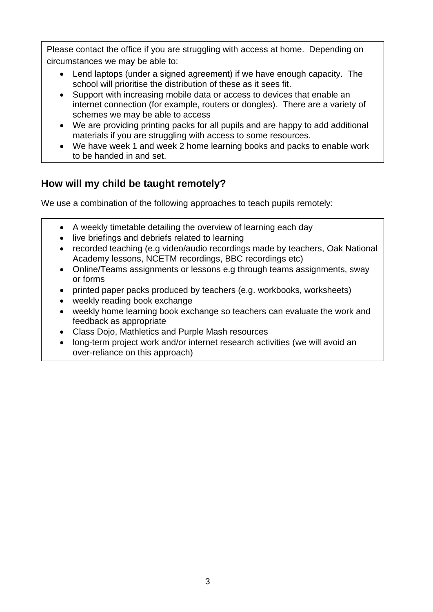Please contact the office if you are struggling with access at home. Depending on circumstances we may be able to:

- Lend laptops (under a signed agreement) if we have enough capacity. The school will prioritise the distribution of these as it sees fit.
- Support with increasing mobile data or access to devices that enable an internet connection (for example, routers or dongles). There are a variety of schemes we may be able to access
- We are providing printing packs for all pupils and are happy to add additional materials if you are struggling with access to some resources.
- We have week 1 and week 2 home learning books and packs to enable work to be handed in and set.

## **How will my child be taught remotely?**

We use a combination of the following approaches to teach pupils remotely:

- A weekly timetable detailing the overview of learning each day
- live briefings and debriefs related to learning
- recorded teaching (e.g video/audio recordings made by teachers, Oak National Academy lessons, NCETM recordings, BBC recordings etc)
- Online/Teams assignments or lessons e.g through teams assignments, sway or forms
- printed paper packs produced by teachers (e.g. workbooks, worksheets)
- weekly reading book exchange
- weekly home learning book exchange so teachers can evaluate the work and feedback as appropriate
- Class Dojo, Mathletics and Purple Mash resources
- long-term project work and/or internet research activities (we will avoid an over-reliance on this approach)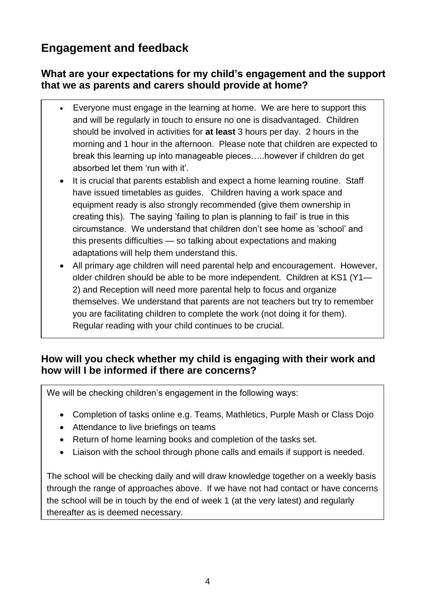# **Engagement and feedback**

### **What are your expectations for my child's engagement and the support that we as parents and carers should provide at home?**

- Everyone must engage in the learning at home. We are here to support this and will be regularly in touch to ensure no one is disadvantaged. Children should be involved in activities for **at least** 3 hours per day. 2 hours in the morning and 1 hour in the afternoon. Please note that children are expected to break this learning up into manageable pieces…..however if children do get absorbed let them 'run with it'.
- It is crucial that parents establish and expect a home learning routine. Staff have issued timetables as guides. Children having a work space and equipment ready is also strongly recommended (give them ownership in creating this). The saying 'failing to plan is planning to fail' is true in this circumstance. We understand that children don't see home as 'school' and this presents difficulties — so talking about expectations and making adaptations will help them understand this.
- All primary age children will need parental help and encouragement. However, older children should be able to be more independent. Children at KS1 (Y1— 2) and Reception will need more parental help to focus and organize themselves. We understand that parents are not teachers but try to remember you are facilitating children to complete the work (not doing it for them). Regular reading with your child continues to be crucial.

### **How will you check whether my child is engaging with their work and how will I be informed if there are concerns?**

We will be checking children's engagement in the following ways:

- Completion of tasks online e.g. Teams, Mathletics, Purple Mash or Class Dojo
- Attendance to live briefings on teams
- Return of home learning books and completion of the tasks set.
- Liaison with the school through phone calls and emails if support is needed.

The school will be checking daily and will draw knowledge together on a weekly basis through the range of approaches above. If we have not had contact or have concerns the school will be in touch by the end of week 1 (at the very latest) and regularly thereafter as is deemed necessary.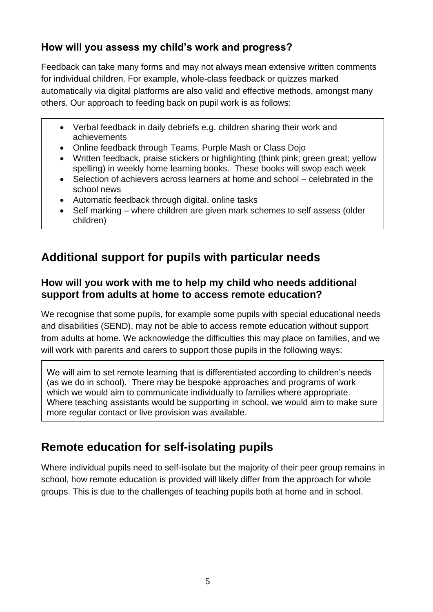## **How will you assess my child's work and progress?**

Feedback can take many forms and may not always mean extensive written comments for individual children. For example, whole-class feedback or quizzes marked automatically via digital platforms are also valid and effective methods, amongst many others. Our approach to feeding back on pupil work is as follows:

- Verbal feedback in daily debriefs e.g. children sharing their work and achievements
- Online feedback through Teams, Purple Mash or Class Dojo
- Written feedback, praise stickers or highlighting (think pink; green great; yellow spelling) in weekly home learning books. These books will swop each week
- Selection of achievers across learners at home and school celebrated in the school news
- Automatic feedback through digital, online tasks
- Self marking where children are given mark schemes to self assess (older children)

# **Additional support for pupils with particular needs**

### **How will you work with me to help my child who needs additional support from adults at home to access remote education?**

We recognise that some pupils, for example some pupils with special educational needs and disabilities (SEND), may not be able to access remote education without support from adults at home. We acknowledge the difficulties this may place on families, and we will work with parents and carers to support those pupils in the following ways:

We will aim to set remote learning that is differentiated according to children's needs (as we do in school). There may be bespoke approaches and programs of work which we would aim to communicate individually to families where appropriate. Where teaching assistants would be supporting in school, we would aim to make sure more regular contact or live provision was available.

## **Remote education for self-isolating pupils**

Where individual pupils need to self-isolate but the majority of their peer group remains in school, how remote education is provided will likely differ from the approach for whole groups. This is due to the challenges of teaching pupils both at home and in school.